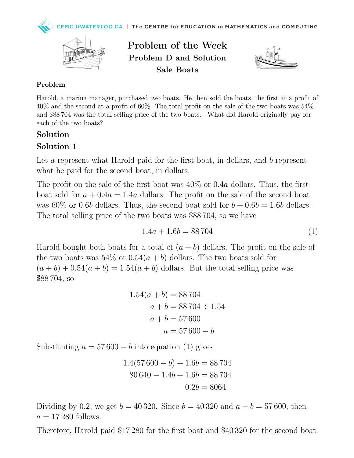

Problem of the Week Problem D and Solution Sale Boats



#### Problem

Harold, a marina manager, purchased two boats. He then sold the boats, the first at a profit of 40% and the second at a profit of 60%. The total profit on the sale of the two boats was 54% and \$88 704 was the total selling price of the two boats. What did Harold originally pay for each of the two boats?

#### Solution

### Solution 1

Let a represent what Harold paid for the first boat, in dollars, and b represent what he paid for the second boat, in dollars.

The profit on the sale of the first boat was 40% or 0.4a dollars. Thus, the first boat sold for  $a + 0.4a = 1.4a$  dollars. The profit on the sale of the second boat was 60% or 0.6b dollars. Thus, the second boat sold for  $b + 0.6b = 1.6b$  dollars. The total selling price of the two boats was \$88 704, so we have

$$
1.4a + 1.6b = 88\,704\tag{1}
$$

Harold bought both boats for a total of  $(a + b)$  dollars. The profit on the sale of the two boats was  $54\%$  or  $0.54(a + b)$  dollars. The two boats sold for  $(a + b) + 0.54(a + b) = 1.54(a + b)$  dollars. But the total selling price was \$88 704, so

$$
1.54(a + b) = 88704
$$
  

$$
a + b = 88704 \div 1.54
$$
  

$$
a + b = 57600
$$
  

$$
a = 57600 - b
$$

Substituting  $a = 57600 - b$  into equation (1) gives

$$
1.4(57600 - b) + 1.6b = 88704
$$
  

$$
80640 - 1.4b + 1.6b = 88704
$$
  

$$
0.2b = 8064
$$

Dividing by 0.2, we get  $b = 40320$ . Since  $b = 40320$  and  $a + b = 57600$ , then  $a = 17280$  follows.

Therefore, Harold paid \$17 280 for the first boat and \$40 320 for the second boat.